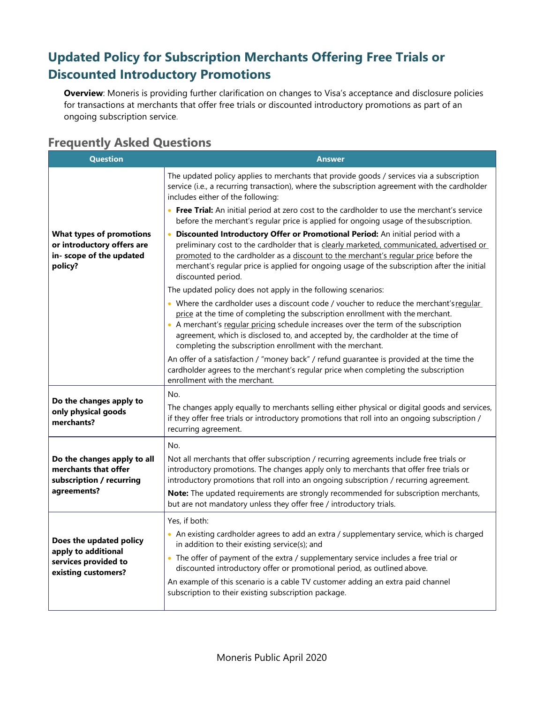## **Updated Policy for Subscription Merchants Offering Free Trials or Discounted Introductory Promotions**

**Overview**: Moneris is providing further clarification on changes to Visa's acceptance and disclosure policies for transactions at merchants that offer free trials or discounted introductory promotions as part of an ongoing subscription service.

## **Frequently Asked Questions**

| <b>Question</b>                                                                                      | Answer                                                                                                                                                                                                                                                                                                                                                                                                           |
|------------------------------------------------------------------------------------------------------|------------------------------------------------------------------------------------------------------------------------------------------------------------------------------------------------------------------------------------------------------------------------------------------------------------------------------------------------------------------------------------------------------------------|
| <b>What types of promotions</b><br>or introductory offers are<br>in- scope of the updated<br>policy? | The updated policy applies to merchants that provide goods / services via a subscription<br>service (i.e., a recurring transaction), where the subscription agreement with the cardholder<br>includes either of the following:                                                                                                                                                                                   |
|                                                                                                      | • Free Trial: An initial period at zero cost to the cardholder to use the merchant's service<br>before the merchant's regular price is applied for ongoing usage of the subscription.                                                                                                                                                                                                                            |
|                                                                                                      | Discounted Introductory Offer or Promotional Period: An initial period with a<br>$\bullet$<br>preliminary cost to the cardholder that is clearly marketed, communicated, advertised or<br>promoted to the cardholder as a discount to the merchant's regular price before the<br>merchant's regular price is applied for ongoing usage of the subscription after the initial<br>discounted period.               |
|                                                                                                      | The updated policy does not apply in the following scenarios:                                                                                                                                                                                                                                                                                                                                                    |
|                                                                                                      | . Where the cardholder uses a discount code / voucher to reduce the merchant's regular<br>price at the time of completing the subscription enrollment with the merchant.<br>• A merchant's regular pricing schedule increases over the term of the subscription<br>agreement, which is disclosed to, and accepted by, the cardholder at the time of<br>completing the subscription enrollment with the merchant. |
|                                                                                                      | An offer of a satisfaction / "money back" / refund guarantee is provided at the time the<br>cardholder agrees to the merchant's regular price when completing the subscription<br>enrollment with the merchant.                                                                                                                                                                                                  |
| Do the changes apply to<br>only physical goods<br>merchants?                                         | No.                                                                                                                                                                                                                                                                                                                                                                                                              |
|                                                                                                      | The changes apply equally to merchants selling either physical or digital goods and services,<br>if they offer free trials or introductory promotions that roll into an ongoing subscription /<br>recurring agreement.                                                                                                                                                                                           |
|                                                                                                      | No.                                                                                                                                                                                                                                                                                                                                                                                                              |
| Do the changes apply to all<br>merchants that offer<br>subscription / recurring<br>agreements?       | Not all merchants that offer subscription / recurring agreements include free trials or<br>introductory promotions. The changes apply only to merchants that offer free trials or<br>introductory promotions that roll into an ongoing subscription / recurring agreement.                                                                                                                                       |
|                                                                                                      | Note: The updated requirements are strongly recommended for subscription merchants,<br>but are not mandatory unless they offer free / introductory trials.                                                                                                                                                                                                                                                       |
| Does the updated policy<br>apply to additional<br>services provided to<br>existing customers?        | Yes, if both:                                                                                                                                                                                                                                                                                                                                                                                                    |
|                                                                                                      | • An existing cardholder agrees to add an extra / supplementary service, which is charged<br>in addition to their existing service(s); and                                                                                                                                                                                                                                                                       |
|                                                                                                      | • The offer of payment of the extra / supplementary service includes a free trial or<br>discounted introductory offer or promotional period, as outlined above.                                                                                                                                                                                                                                                  |
|                                                                                                      | An example of this scenario is a cable TV customer adding an extra paid channel<br>subscription to their existing subscription package.                                                                                                                                                                                                                                                                          |